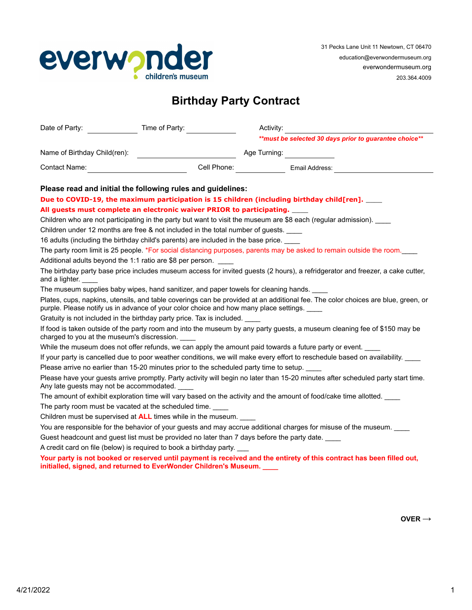

## **Birthday Party Contract**

| Date of Party:                                                                                | Time of Party:                                                                              | Activity:                                                                                                                        |
|-----------------------------------------------------------------------------------------------|---------------------------------------------------------------------------------------------|----------------------------------------------------------------------------------------------------------------------------------|
|                                                                                               |                                                                                             | ** must be selected 30 days prior to guarantee choice**                                                                          |
| Name of Birthday Child(ren):                                                                  |                                                                                             | Age Turning: <u>______________</u>                                                                                               |
| Contact Name: Name: Name of Second Contact Name of Second Contact Name of Second Contact Inc. |                                                                                             |                                                                                                                                  |
|                                                                                               | Please read and initial the following rules and guidelines:                                 |                                                                                                                                  |
|                                                                                               |                                                                                             | Due to COVID-19, the maximum participation is 15 children (including birthday child[ren]. ____                                   |
|                                                                                               | All guests must complete an electronic waiver PRIOR to participating. ____                  |                                                                                                                                  |
|                                                                                               |                                                                                             | Children who are not participating in the party but want to visit the museum are \$8 each (regular admission).                   |
|                                                                                               | Children under 12 months are free & not included in the total number of guests.             |                                                                                                                                  |
|                                                                                               | 16 adults (including the birthday child's parents) are included in the base price. ____     |                                                                                                                                  |
|                                                                                               |                                                                                             | The party room limit is 25 people. *For social distancing purposes, parents may be asked to remain outside the room.             |
|                                                                                               | Additional adults beyond the 1:1 ratio are \$8 per person.                                  |                                                                                                                                  |
| and a lighter.                                                                                |                                                                                             | The birthday party base price includes museum access for invited guests (2 hours), a refridgerator and freezer, a cake cutter,   |
|                                                                                               | The museum supplies baby wipes, hand sanitizer, and paper towels for cleaning hands.        |                                                                                                                                  |
|                                                                                               | purple. Please notify us in advance of your color choice and how many place settings.       | Plates, cups, napkins, utensils, and table coverings can be provided at an additional fee. The color choices are blue, green, or |
|                                                                                               | Gratuity is not included in the birthday party price. Tax is included.                      |                                                                                                                                  |
| charged to you at the museum's discression.                                                   |                                                                                             | If food is taken outside of the party room and into the museum by any party guests, a museum cleaning fee of \$150 may be        |
|                                                                                               |                                                                                             | While the museum does not offer refunds, we can apply the amount paid towards a future party or event.                           |
|                                                                                               |                                                                                             | If your party is cancelled due to poor weather conditions, we will make every effort to reschedule based on availability.        |
|                                                                                               | Please arrive no earlier than 15-20 minutes prior to the scheduled party time to setup.     |                                                                                                                                  |
| Any late guests may not be accommodated.                                                      |                                                                                             | Please have your guests arrive promptly. Party activity will begin no later than 15-20 minutes after scheduled party start time. |
|                                                                                               |                                                                                             | The amount of exhibit exploration time will vary based on the activity and the amount of food/cake time allotted.                |
|                                                                                               | The party room must be vacated at the scheduled time.                                       |                                                                                                                                  |
|                                                                                               | Children must be supervised at ALL times while in the museum. ____                          |                                                                                                                                  |
|                                                                                               |                                                                                             | You are responsible for the behavior of your guests and may accrue additional charges for misuse of the museum.                  |
|                                                                                               | Guest headcount and guest list must be provided no later than 7 days before the party date. |                                                                                                                                  |
|                                                                                               | A credit card on file (below) is required to book a birthday party.                         |                                                                                                                                  |
|                                                                                               | initialled, signed, and returned to EverWonder Children's Museum. ___                       | Your party is not booked or reserved until payment is received and the entirety of this contract has been filled out,            |
|                                                                                               |                                                                                             |                                                                                                                                  |

**OVER →**